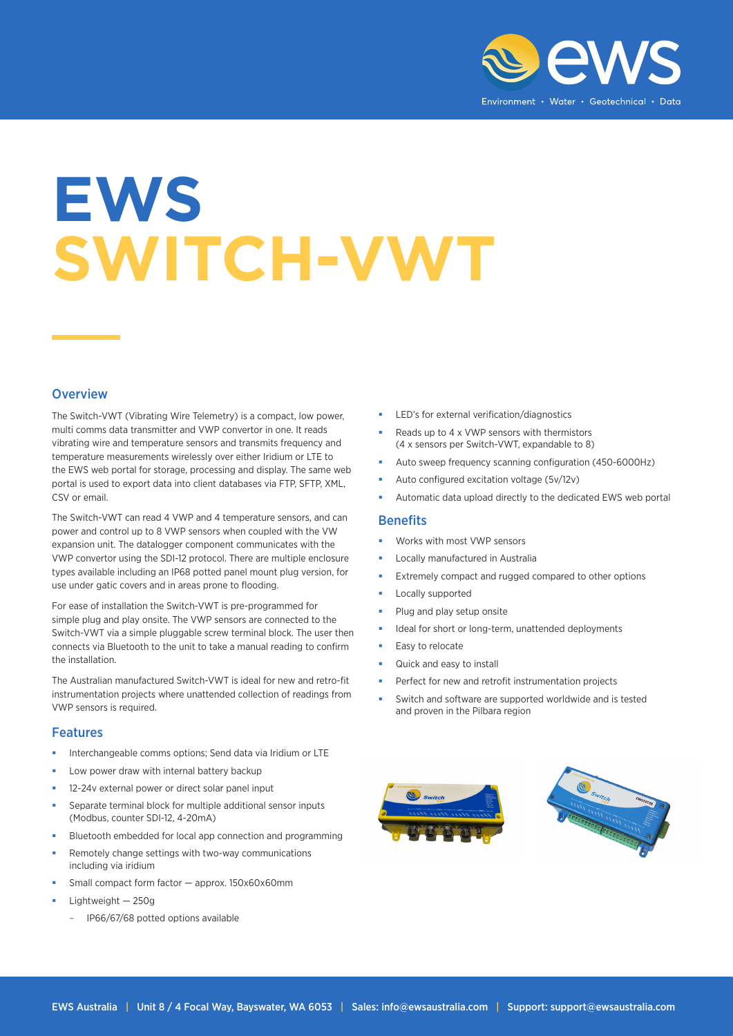

# **EWS SWITCH-VWT**

### **Overview**

The Switch-VWT (Vibrating Wire Telemetry) is a compact, low power, multi comms data transmitter and VWP convertor in one. It reads vibrating wire and temperature sensors and transmits frequency and temperature measurements wirelessly over either Iridium or LTE to the EWS web portal for storage, processing and display. The same web portal is used to export data into client databases via FTP, SFTP, XML, CSV or email.

The Switch-VWT can read 4 VWP and 4 temperature sensors, and can power and control up to 8 VWP sensors when coupled with the VW expansion unit. The datalogger component communicates with the VWP convertor using the SDI-12 protocol. There are multiple enclosure types available including an IP68 potted panel mount plug version, for use under gatic covers and in areas prone to flooding.

For ease of installation the Switch-VWT is pre-programmed for simple plug and play onsite. The VWP sensors are connected to the Switch-VWT via a simple pluggable screw terminal block. The user then connects via Bluetooth to the unit to take a manual reading to confirm the installation.

The Australian manufactured Switch-VWT is ideal for new and retro-fit instrumentation projects where unattended collection of readings from VWP sensors is required.

#### Features

- Interchangeable comms options; Send data via Iridium or LTE
- Low power draw with internal battery backup
- 12-24v external power or direct solar panel input
- Separate terminal block for multiple additional sensor inputs (Modbus, counter SDI-12, 4-20mA)
- Bluetooth embedded for local app connection and programming
- Remotely change settings with two-way communications including via iridium
- Small compact form factor approx. 150x60x60mm
- Lightweight 250g
	- IP66/67/68 potted options available
- LED's for external verification/diagnostics
- Reads up to 4 x VWP sensors with thermistors (4 x sensors per Switch-VWT, expandable to 8)
- Auto sweep frequency scanning configuration (450-6000Hz)
- Auto configured excitation voltage (5v/12v)
- Automatic data upload directly to the dedicated EWS web portal

#### **Benefits**

- Works with most VWP sensors
- Locally manufactured in Australia
- Extremely compact and rugged compared to other options
- Locally supported
- Plug and play setup onsite
- Ideal for short or long-term, unattended deployments
- Easy to relocate
- Quick and easy to install
- Perfect for new and retrofit instrumentation projects
- Switch and software are supported worldwide and is tested and proven in the Pilbara region